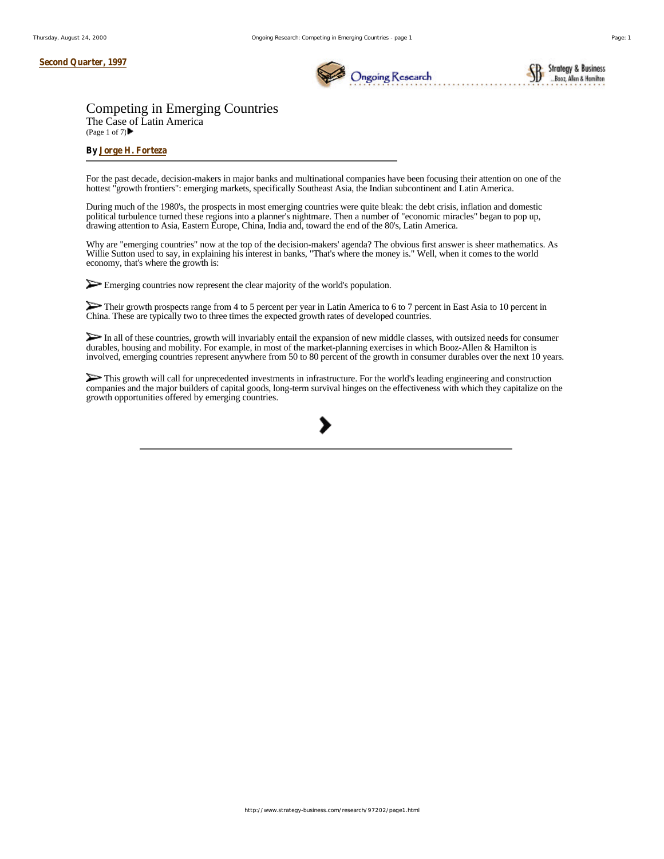

**Strategy & Business** . Booz. Allen & Hamilton

# Competing in Emerging Countries The Case of Latin America (Page 1 of 7) $\blacktriangleright$

**By Jorge H. Forteza**

For the past decade, decision-makers in major banks and multinational companies have been focusing their attention on one of the hottest "growth frontiers": emerging markets, specifically Southeast Asia, the Indian subcontinent and Latin America.

During much of the 1980's, the prospects in most emerging countries were quite bleak: the debt crisis, inflation and domestic political turbulence turned these regions into a planner's nightmare. Then a number of "economic miracles" began to pop up, drawing attention to Asia, Eastern Europe, China, India and, toward the end of the 80's, Latin America.

Why are "emerging countries" now at the top of the decision-makers' agenda? The obvious first answer is sheer mathematics. As Willie Sutton used to say, in explaining his interest in banks, "That's where the money is." Well, when it comes to the world economy, that's where the growth is:

Emerging countries now represent the clear majority of the world's population.

Their growth prospects range from 4 to 5 percent per year in Latin America to 6 to 7 percent in East Asia to 10 percent in China. These are typically two to three times the expected growth rates of developed countries.

In all of these countries, growth will invariably entail the expansion of new middle classes, with outsized needs for consumer durables, housing and mobility. For example, in most of the market-planning exercises in which Booz-Allen & Hamilton is involved, emerging countries represent anywhere from 50 to 80 percent of the growth in consumer durables over the next 10 years.

This growth will call for unprecedented investments in infrastructure. For the world's leading engineering and construction companies and the major builders of capital goods, long-term survival hinges on the effectiveness with which they capitalize on the growth opportunities offered by emerging countries.

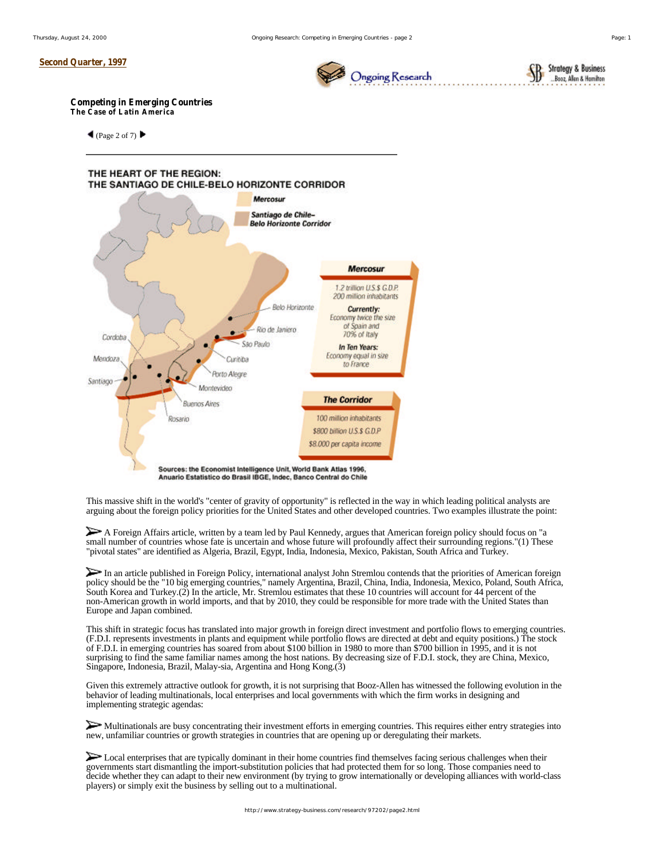

**Competing in Emerging Countries The Case of Latin America**

 $\blacktriangleleft$  (Page 2 of 7)  $\blacktriangleright$ 



Anuario Estatístico do Brasil IBGE, Indec, Banco Central do Chile

This massive shift in the world's "center of gravity of opportunity" is reflected in the way in which leading political analysts are arguing about the foreign policy priorities for the United States and other developed countries. Two examples illustrate the point:

 A Foreign Affairs article, written by a team led by Paul Kennedy, argues that American foreign policy should focus on "a small number of countries whose fate is uncertain and whose future will profoundly affect their surrounding regions."(1) These "pivotal states" are identified as Algeria, Brazil, Egypt, India, Indonesia, Mexico, Pakistan, South Africa and Turkey.

In an article published in Foreign Policy, international analyst John Stremlou contends that the priorities of American foreign policy should be the "10 big emerging countries," namely Argentina, Brazil, China, India, Indonesia, Mexico, Poland, South Africa, South Korea and Turkey.(2) In the article, Mr. Stremlou estimates that these 10 countries will account for 44 percent of the non-American growth in world imports, and that by 2010, they could be responsible for more trade with the United States than Europe and Japan combined.

This shift in strategic focus has translated into major growth in foreign direct investment and portfolio flows to emerging countries. (F.D.I. represents investments in plants and equipment while portfolio flows are directed at debt and equity positions.) The stock of F.D.I. in emerging countries has soared from about \$100 billion in 1980 to more than \$700 billion in 1995, and it is not surprising to find the same familiar names among the host nations. By decreasing size of F.D.I. stock, they are China, Mexico, Singapore, Indonesia, Brazil, Malay-sia, Argentina and Hong Kong.(3)

Given this extremely attractive outlook for growth, it is not surprising that Booz-Allen has witnessed the following evolution in the behavior of leading multinationals, local enterprises and local governments with which the firm works in designing and implementing strategic agendas:

 Multinationals are busy concentrating their investment efforts in emerging countries. This requires either entry strategies into new, unfamiliar countries or growth strategies in countries that are opening up or deregulating their markets.

Local enterprises that are typically dominant in their home countries find themselves facing serious challenges when their governments start dismantling the import-substitution policies that had protected them for so long. Those companies need to decide whether they can adapt to their new environment (by trying to grow internationally or developing alliances with world-class players) or simply exit the business by selling out to a multinational.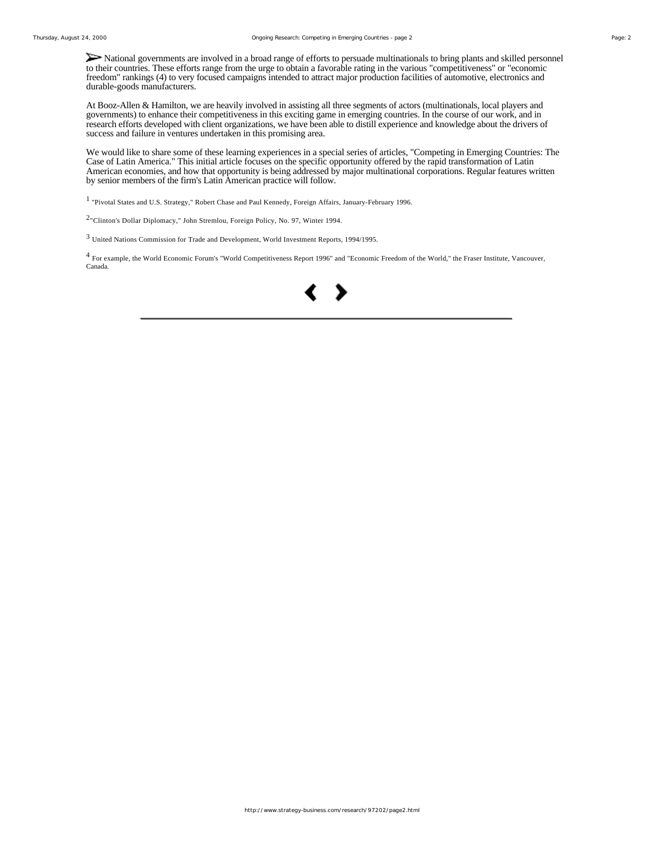National governments are involved in a broad range of efforts to persuade multinationals to bring plants and skilled personnel to their countries. These efforts range from the urge to obtain a favorable rating in the various "competitiveness" or "economic freedom" rankings (4) to very focused campaigns intended to attract major production facilities of automotive, electronics and durable-goods manufacturers.

At Booz-Allen & Hamilton, we are heavily involved in assisting all three segments of actors (multinationals, local players and governments) to enhance their competitiveness in this exciting game in emerging countries. In the course of our work, and in research efforts developed with client organizations, we have been able to distill experience and knowledge about the drivers of success and failure in ventures undertaken in this promising area.

We would like to share some of these learning experiences in a special series of articles, "Competing in Emerging Countries: The Case of Latin America." This initial article focuses on the specific opportunity offered by the rapid transformation of Latin American economies, and how that opportunity is being addressed by major multinational corporations. Regular features written by senior members of the firm's Latin American practice will follow.

1 "Pivotal States and U.S. Strategy," Robert Chase and Paul Kennedy, Foreign Affairs, January-February 1996.

<sup>2</sup> "Clinton's Dollar Diplomacy," John Stremlou, Foreign Policy, No. 97, Winter 1994.

<sup>3</sup> United Nations Commission for Trade and Development, World Investment Reports, 1994/1995.

4 For example, the World Economic Forum's "World Competitiveness Report 1996" and "Economic Freedom of the World," the Fraser Institute, Vancouver, Canada.

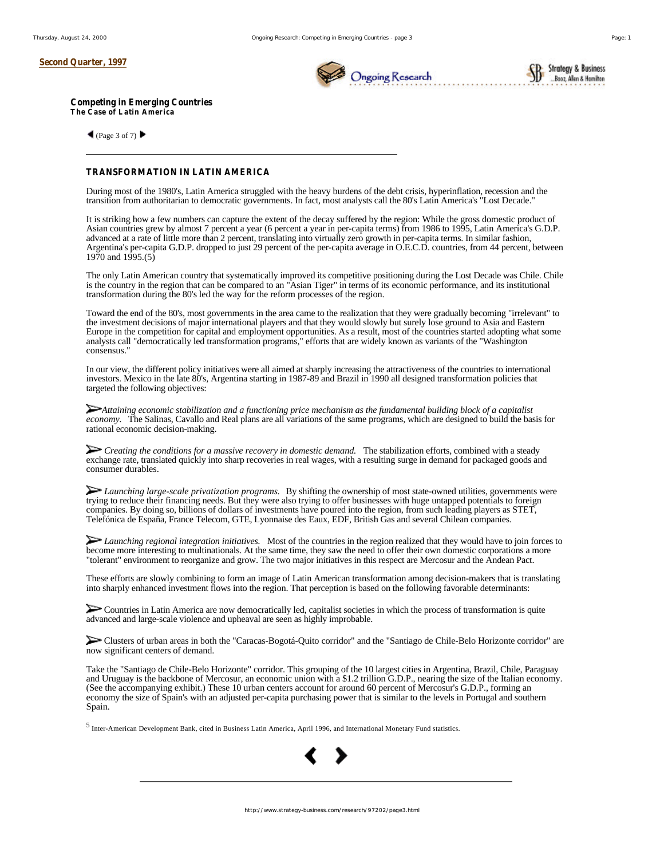

**Competing in Emerging Countries The Case of Latin America**

 $\blacktriangleleft$  (Page 3 of 7)  $\blacktriangleright$ 

# **TRANSFORMATION IN LATIN AMERICA**

During most of the 1980's, Latin America struggled with the heavy burdens of the debt crisis, hyperinflation, recession and the transition from authoritarian to democratic governments. In fact, most analysts call the 80's Latin America's "Lost Decade."

It is striking how a few numbers can capture the extent of the decay suffered by the region: While the gross domestic product of Asian countries grew by almost 7 percent a year (6 percent a year in per-capita terms) from 1986 to 1995, Latin America's G.D.P. advanced at a rate of little more than 2 percent, translating into virtually zero growth in per-capita terms. In similar fashion, Argentina's per-capita G.D.P. dropped to just 29 percent of the per-capita average in O.E.C.D. countries, from 44 percent, between 1970 and 1995.(5)

The only Latin American country that systematically improved its competitive positioning during the Lost Decade was Chile. Chile is the country in the region that can be compared to an "Asian Tiger" in terms of its economic performance, and its institutional transformation during the 80's led the way for the reform processes of the region.

Toward the end of the 80's, most governments in the area came to the realization that they were gradually becoming "irrelevant" to the investment decisions of major international players and that they would slowly but surely lose ground to Asia and Eastern Europe in the competition for capital and employment opportunities. As a result, most of the countries started adopting what some analysts call "democratically led transformation programs," efforts that are widely known as variants of the "Washington consensus."

In our view, the different policy initiatives were all aimed at sharply increasing the attractiveness of the countries to international investors. Mexico in the late 80's, Argentina starting in 1987-89 and Brazil in 1990 all designed transformation policies that targeted the following objectives:

*Attaining economic stabilization and a functioning price mechanism as the fundamental building block of a capitalist economy.* The Salinas, Cavallo and Real plans are all variations of the same programs, which are designed to build the basis for rational economic decision-making.

*Creating the conditions for a massive recovery in domestic demand.* The stabilization efforts, combined with a steady exchange rate, translated quickly into sharp recoveries in real wages, with a resulting surge in demand for packaged goods and consumer durables.

*Launching large-scale privatization programs.* By shifting the ownership of most state-owned utilities, governments were trying to reduce their financing needs. But they were also trying to offer businesses with huge untapped potentials to foreign companies. By doing so, billions of dollars of investments have poured into the region, from such leading players as STET, Telefónica de España, France Telecom, GTE, Lyonnaise des Eaux, EDF, British Gas and several Chilean companies.

*Launching regional integration initiatives.* Most of the countries in the region realized that they would have to join forces to become more interesting to multinationals. At the same time, they saw the need to offer their own domestic corporations a more "tolerant" environment to reorganize and grow. The two major initiatives in this respect are Mercosur and the Andean Pact.

These efforts are slowly combining to form an image of Latin American transformation among decision-makers that is translating into sharply enhanced investment flows into the region. That perception is based on the following favorable determinants:

 Countries in Latin America are now democratically led, capitalist societies in which the process of transformation is quite advanced and large-scale violence and upheaval are seen as highly improbable.

 Clusters of urban areas in both the "Caracas-Bogotá-Quito corridor" and the "Santiago de Chile-Belo Horizonte corridor" are now significant centers of demand.

Take the "Santiago de Chile-Belo Horizonte" corridor. This grouping of the 10 largest cities in Argentina, Brazil, Chile, Paraguay and Uruguay is the backbone of Mercosur, an economic union with a \$1.2 trillion G.D.P., nearing the size of the Italian economy. (See the accompanying exhibit.) These 10 urban centers account for around 60 percent of Mercosur's G.D.P., forming an economy the size of Spain's with an adjusted per-capita purchasing power that is similar to the levels in Portugal and southern Spain.

5 Inter-American Development Bank, cited in Business Latin America, April 1996, and International Monetary Fund statistics.

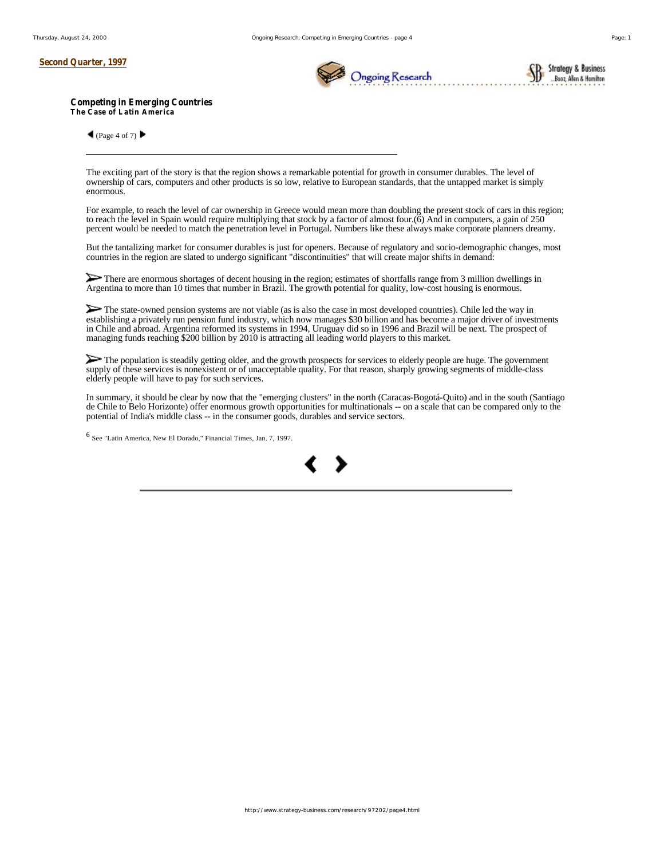

**Strategy & Business** Booz, Allen & Hamih

**Competing in Emerging Countries The Case of Latin America**

 $\blacktriangleleft$  (Page 4 of 7)  $\blacktriangleright$ 

The exciting part of the story is that the region shows a remarkable potential for growth in consumer durables. The level of ownership of cars, computers and other products is so low, relative to European standards, that the untapped market is simply enormous.

For example, to reach the level of car ownership in Greece would mean more than doubling the present stock of cars in this region; to reach the level in Spain would require multiplying that stock by a factor of almost four.(6) And in computers, a gain of 250 percent would be needed to match the penetration level in Portugal. Numbers like these always make corporate planners dreamy.

But the tantalizing market for consumer durables is just for openers. Because of regulatory and socio-demographic changes, most countries in the region are slated to undergo significant "discontinuities" that will create major shifts in demand:

There are enormous shortages of decent housing in the region; estimates of shortfalls range from 3 million dwellings in Argentina to more than 10 times that number in Brazil. The growth potential for quality, low-cost housing is enormous.

The state-owned pension systems are not viable (as is also the case in most developed countries). Chile led the way in establishing a privately run pension fund industry, which now manages \$30 billion and has become a major driver of investments in Chile and abroad. Argentina reformed its systems in 1994, Uruguay did so in 1996 and Brazil will be next. The prospect of managing funds reaching \$200 billion by 2010 is attracting all leading world players to this market.

The population is steadily getting older, and the growth prospects for services to elderly people are huge. The government supply of these services is nonexistent or of unacceptable quality. For that reason, sharply growing segments of middle-class elderly people will have to pay for such services.

In summary, it should be clear by now that the "emerging clusters" in the north (Caracas-Bogotá-Quito) and in the south (Santiago de Chile to Belo Horizonte) offer enormous growth opportunities for multinationals -- on a scale that can be compared only to the potential of India's middle class -- in the consumer goods, durables and service sectors.

6 See "Latin America, New El Dorado," Financial Times, Jan. 7, 1997.

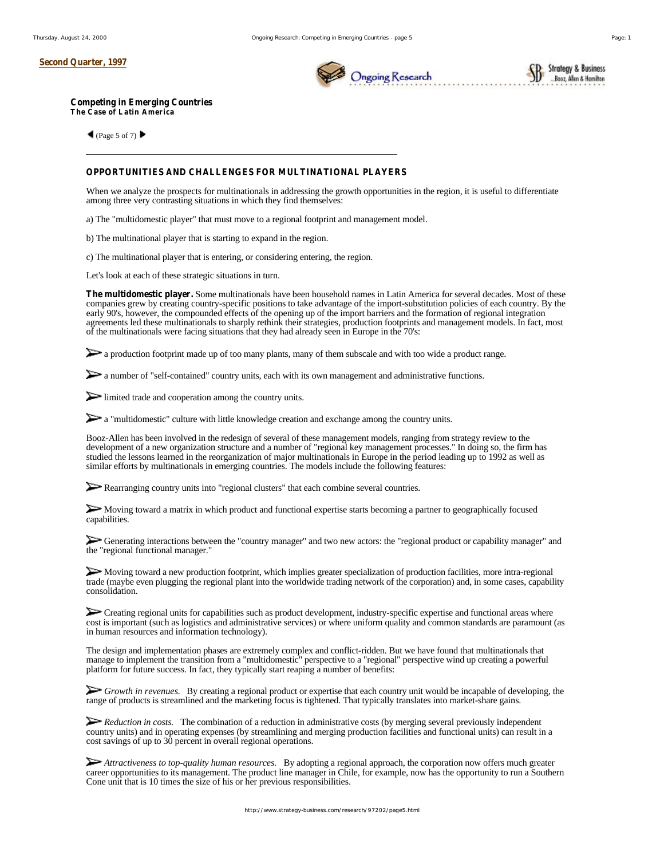

**Competing in Emerging Countries The Case of Latin America**

 $\blacktriangleleft$  (Page 5 of 7)  $\blacktriangleright$ 

# **OPPORTUNITIES AND CHALLENGES FOR MULTINATIONAL PLAYERS**

When we analyze the prospects for multinationals in addressing the growth opportunities in the region, it is useful to differentiate among three very contrasting situations in which they find themselves:

a) The "multidomestic player" that must move to a regional footprint and management model.

b) The multinational player that is starting to expand in the region.

c) The multinational player that is entering, or considering entering, the region.

Let's look at each of these strategic situations in turn.

**The multidomestic player.** Some multinationals have been household names in Latin America for several decades. Most of these companies grew by creating country-specific positions to take advantage of the import-substitution policies of each country. By the early 90's, however, the compounded effects of the opening up of the import barriers and the formation of regional integration agreements led these multinationals to sharply rethink their strategies, production footprints and management models. In fact, most of the multinationals were facing situations that they had already seen in Europe in the 70's:

a production footprint made up of too many plants, many of them subscale and with too wide a product range.

a number of "self-contained" country units, each with its own management and administrative functions.

limited trade and cooperation among the country units.

a "multidomestic" culture with little knowledge creation and exchange among the country units.

Booz-Allen has been involved in the redesign of several of these management models, ranging from strategy review to the development of a new organization structure and a number of "regional key management processes." In doing so, the firm has studied the lessons learned in the reorganization of major multinationals in Europe in the period leading up to 1992 as well as similar efforts by multinationals in emerging countries. The models include the following features:

Rearranging country units into "regional clusters" that each combine several countries.

 Moving toward a matrix in which product and functional expertise starts becoming a partner to geographically focused capabilities.

Generating interactions between the "country manager" and two new actors: the "regional product or capability manager" and the "regional functional manager."

 Moving toward a new production footprint, which implies greater specialization of production facilities, more intra-regional trade (maybe even plugging the regional plant into the worldwide trading network of the corporation) and, in some cases, capability consolidation.

Creating regional units for capabilities such as product development, industry-specific expertise and functional areas where cost is important (such as logistics and administrative services) or where uniform quality and common standards are paramount (as in human resources and information technology).

The design and implementation phases are extremely complex and conflict-ridden. But we have found that multinationals that manage to implement the transition from a "multidomestic" perspective to a "regional" perspective wind up creating a powerful platform for future success. In fact, they typically start reaping a number of benefits:

*Growth in revenues.* By creating a regional product or expertise that each country unit would be incapable of developing, the range of products is streamlined and the marketing focus is tightened. That typically translates into market-share gains.

*Reduction in costs.* The combination of a reduction in administrative costs (by merging several previously independent country units) and in operating expenses (by streamlining and merging production facilities and functional units) can result in a cost savings of up to 30 percent in overall regional operations.

*Attractiveness to top-quality human resources.* By adopting a regional approach, the corporation now offers much greater career opportunities to its management. The product line manager in Chile, for example, now has the opportunity to run a Southern Cone unit that is 10 times the size of his or her previous responsibilities.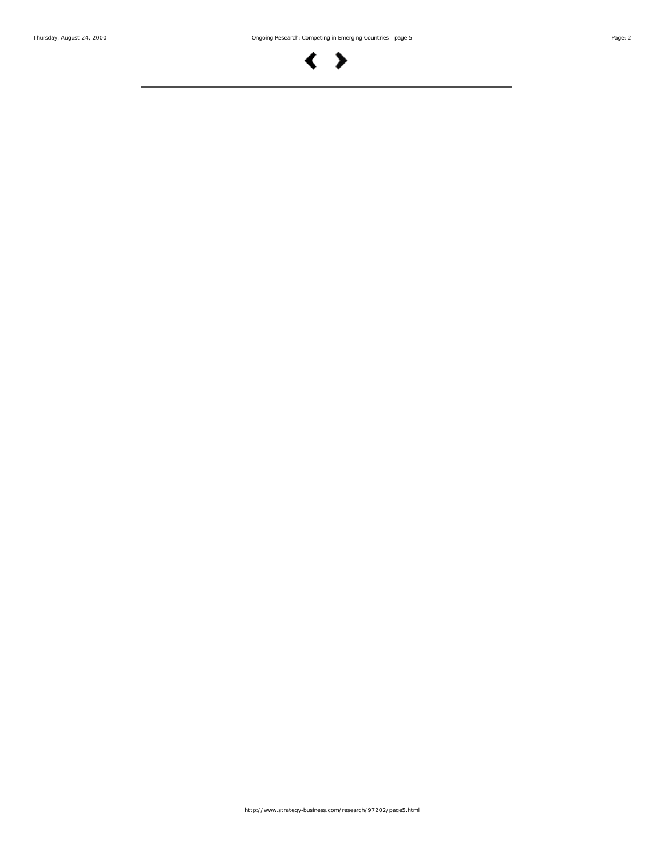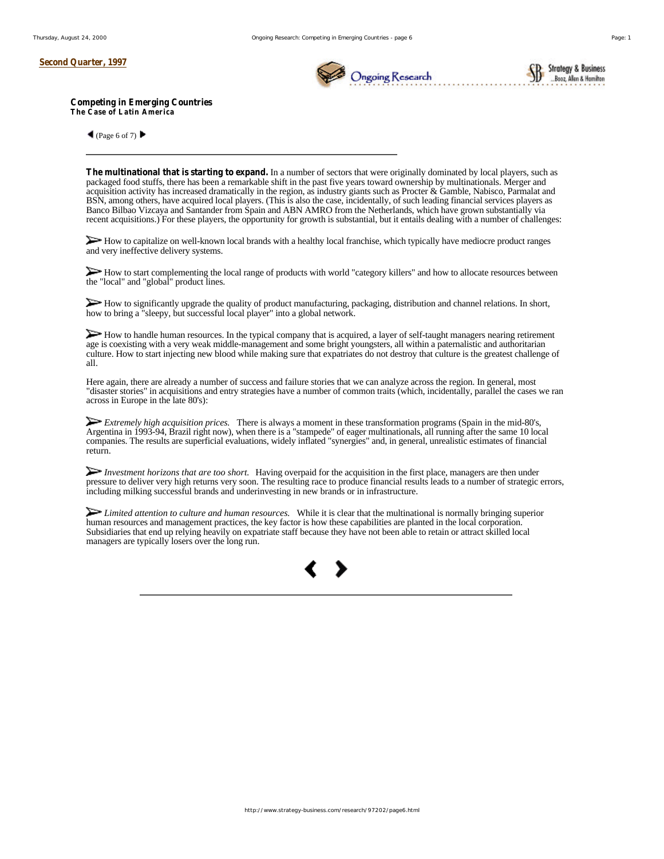

**Strategy & Business** . Booz. Allen & Hamilton

**Competing in Emerging Countries The Case of Latin America**

 $\blacktriangleleft$  (Page 6 of 7)  $\blacktriangleright$ 

**The multinational that is starting to expand.** In a number of sectors that were originally dominated by local players, such as packaged food stuffs, there has been a remarkable shift in the past five years toward ownership by multinationals. Merger and acquisition activity has increased dramatically in the region, as industry giants such as Procter & Gamble, Nabisco, Parmalat and BSN, among others, have acquired local players. (This is also the case, incidentally, of such leading financial services players as Banco Bilbao Vizcaya and Santander from Spain and ABN AMRO from the Netherlands, which have grown substantially via recent acquisitions.) For these players, the opportunity for growth is substantial, but it entails dealing with a number of challenges:

How to capitalize on well-known local brands with a healthy local franchise, which typically have mediocre product ranges and very ineffective delivery systems.

 How to start complementing the local range of products with world "category killers" and how to allocate resources between the "local" and "global" product lines.

How to significantly upgrade the quality of product manufacturing, packaging, distribution and channel relations. In short, how to bring a "sleepy, but successful local player" into a global network.

 How to handle human resources. In the typical company that is acquired, a layer of self-taught managers nearing retirement age is coexisting with a very weak middle-management and some bright youngsters, all within a paternalistic and authoritarian culture. How to start injecting new blood while making sure that expatriates do not destroy that culture is the greatest challenge of all.

Here again, there are already a number of success and failure stories that we can analyze across the region. In general, most "disaster stories" in acquisitions and entry strategies have a number of common traits (which, incidentally, parallel the cases we ran across in Europe in the late 80's):

*Extremely high acquisition prices.* There is always a moment in these transformation programs (Spain in the mid-80's, Argentina in 1993-94, Brazil right now), when there is a "stampede" of eager multinationals, all running after the same 10 local companies. The results are superficial evaluations, widely inflated "synergies" and, in general, unrealistic estimates of financial return.

*Investment horizons that are too short.* Having overpaid for the acquisition in the first place, managers are then under pressure to deliver very high returns very soon. The resulting race to produce financial results leads to a number of strategic errors, including milking successful brands and underinvesting in new brands or in infrastructure.

*Limited attention to culture and human resources.* While it is clear that the multinational is normally bringing superior human resources and management practices, the key factor is how these capabilities are planted in the local corporation. Subsidiaries that end up relying heavily on expatriate staff because they have not been able to retain or attract skilled local managers are typically losers over the long run.

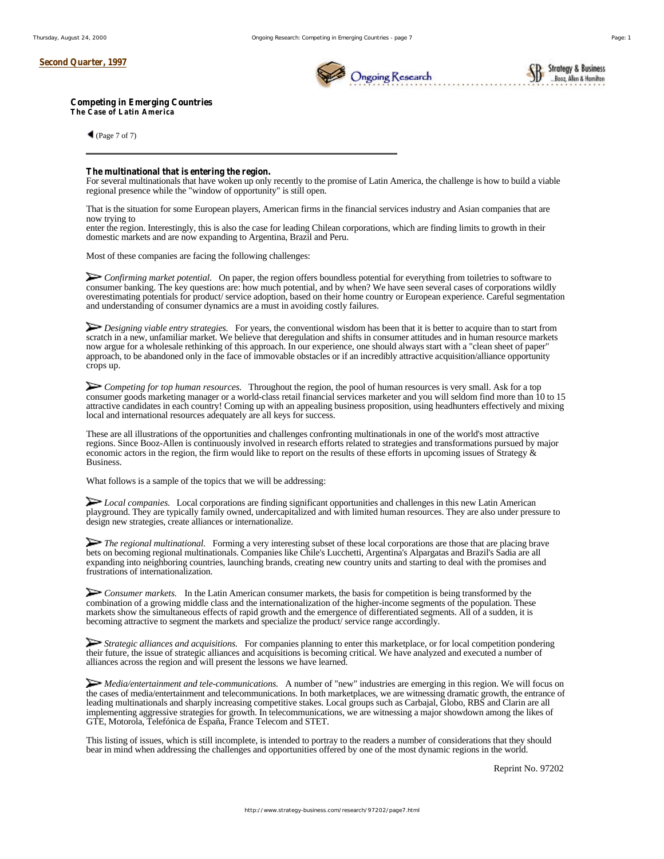

#### **Competing in Emerging Countries The Case of Latin America**

 $\blacktriangleleft$  (Page 7 of 7)

## **The multinational that is entering the region.**

For several multinationals that have woken up only recently to the promise of Latin America, the challenge is how to build a viable regional presence while the "window of opportunity" is still open.

That is the situation for some European players, American firms in the financial services industry and Asian companies that are now trying to

enter the region. Interestingly, this is also the case for leading Chilean corporations, which are finding limits to growth in their domestic markets and are now expanding to Argentina, Brazil and Peru.

Most of these companies are facing the following challenges:

*Confirming market potential.* On paper, the region offers boundless potential for everything from toiletries to software to consumer banking. The key questions are: how much potential, and by when? We have seen several cases of corporations wildly overestimating potentials for product/ service adoption, based on their home country or European experience. Careful segmentation and understanding of consumer dynamics are a must in avoiding costly failures.

**Designing viable entry strategies.** For years, the conventional wisdom has been that it is better to acquire than to start from scratch in a new, unfamiliar market. We believe that deregulation and shifts in consumer attitudes and in human resource markets now argue for a wholesale rethinking of this approach. In our experience, one should always start with a "clean sheet of paper" approach, to be abandoned only in the face of immovable obstacles or if an incredibly attractive acquisition/alliance opportunity crops up.

*Competing for top human resources.* Throughout the region, the pool of human resources is very small. Ask for a top consumer goods marketing manager or a world-class retail financial services marketer and you will seldom find more than 10 to 15 attractive candidates in each country! Coming up with an appealing business proposition, using headhunters effectively and mixing local and international resources adequately are all keys for success.

These are all illustrations of the opportunities and challenges confronting multinationals in one of the world's most attractive regions. Since Booz-Allen is continuously involved in research efforts related to strategies and transformations pursued by major economic actors in the region, the firm would like to report on the results of these efforts in upcoming issues of Strategy  $\&$ Business.

What follows is a sample of the topics that we will be addressing:

*Local companies.* Local corporations are finding significant opportunities and challenges in this new Latin American playground. They are typically family owned, undercapitalized and with limited human resources. They are also under pressure to design new strategies, create alliances or internationalize.

*The regional multinational.* Forming a very interesting subset of these local corporations are those that are placing brave bets on becoming regional multinationals. Companies like Chile's Lucchetti, Argentina's Alpargatas and Brazil's Sadia are all expanding into neighboring countries, launching brands, creating new country units and starting to deal with the promises and frustrations of internationalization.

*Consumer markets.* In the Latin American consumer markets, the basis for competition is being transformed by the combination of a growing middle class and the internationalization of the higher-income segments of the population. These markets show the simultaneous effects of rapid growth and the emergence of differentiated segments. All of a sudden, it is becoming attractive to segment the markets and specialize the product/ service range accordingly.

*Strategic alliances and acquisitions.* For companies planning to enter this marketplace, or for local competition pondering their future, the issue of strategic alliances and acquisitions is becoming critical. We have analyzed and executed a number of alliances across the region and will present the lessons we have learned.

*Media/entertainment and tele-communications.* A number of "new" industries are emerging in this region. We will focus on the cases of media/entertainment and telecommunications. In both marketplaces, we are witnessing dramatic growth, the entrance of leading multinationals and sharply increasing competitive stakes. Local groups such as Carbajal, Globo, RBS and Clarin are all implementing aggressive strategies for growth. In telecommunications, we are witnessing a major showdown among the likes of GTE, Motorola, Telefónica de España, France Telecom and STET.

This listing of issues, which is still incomplete, is intended to portray to the readers a number of considerations that they should bear in mind when addressing the challenges and opportunities offered by one of the most dynamic regions in the world.

Reprint No. 97202